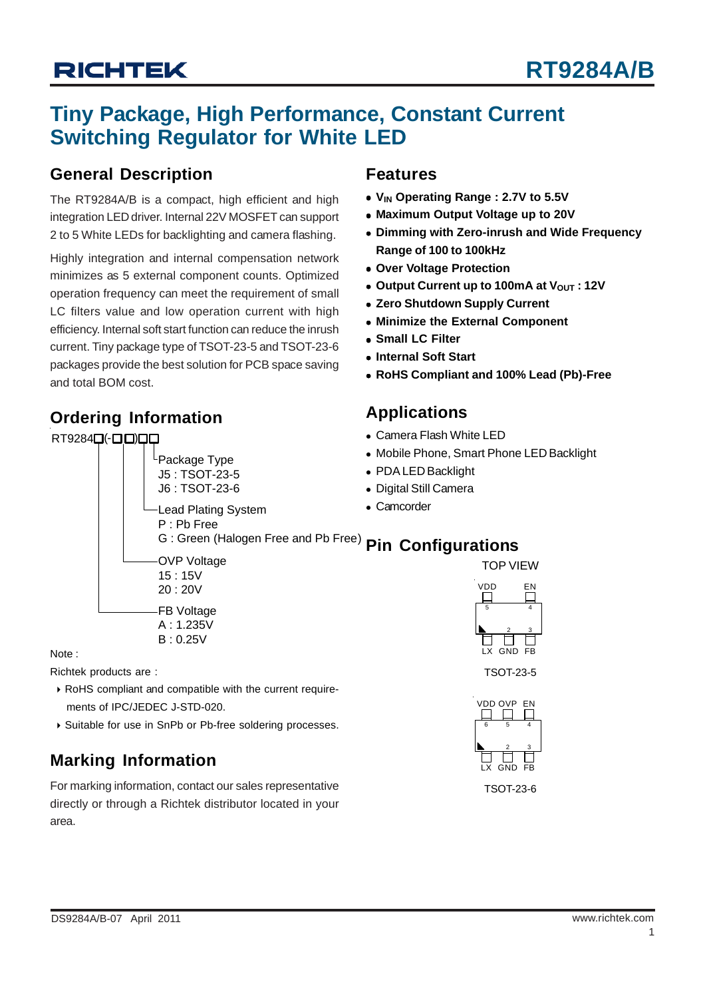# **Tiny Package, High Performance, Constant Current Switching Regulator for White LED**

### **General Description**

The RT9284A/B is a compact, high efficient and high integration LED driver. Internal 22V MOSFET can support 2 to 5 White LEDs for backlighting and camera flashing.

Highly integration and internal compensation network minimizes as 5 external component counts. Optimized operation frequency can meet the requirement of small LC filters value and low operation current with high efficiency. Internal soft start function can reduce the inrush current. Tiny package type of TSOT-23-5 and TSOT-23-6 packages provide the best solution for PCB space saving and total BOM cost.

> Package Type J5 : TSOT-23-5 J6 : TSOT-23-6

## **Ordering Information**

RT9284Q(-QO)

### **Features**

- V<sub>IN</sub> Operating Range : 2.7V to 5.5V
- **Maximum Output Voltage up to 20V**
- **Dimming with Zero-inrush and Wide Frequency Range of 100 to 100kHz**
- $\bullet$  **Over Voltage Protection**
- Output Current up to 100mA at V<sub>OUT</sub> : 12V
- **Zero Shutdown Supply Current**
- **Minimize the External Component**
- $\bullet$  **Small LC Filter**
- $\bullet$  **Internal Soft Start**
- <sup>z</sup> **RoHS Compliant and 100% Lead (Pb)-Free**

### **Applications**

- Camera Flash White LED
- Mobile Phone, Smart Phone LED Backlight
- PDA LED Backlight
- Digital Still Camera
- Camcorder

G : Green (Halogen Free and Pb Free) **Pin Configurations** TOP VIEW 5 Lead Plating System P : Pb Free OVP Voltage 15 : 15V 20 : 20V FB Voltage

Note :

Richtek products are :

` RoHS compliant and compatible with the current require ments of IPC/JEDEC J-STD-020.

A : 1.235V  $B: 0.25V$ 

▶ Suitable for use in SnPb or Pb-free soldering processes.

## **Marking Information**

For marking information, contact our sales representative directly or through a Richtek distributor located in your area.



TSOT-23-5



TSOT-23-6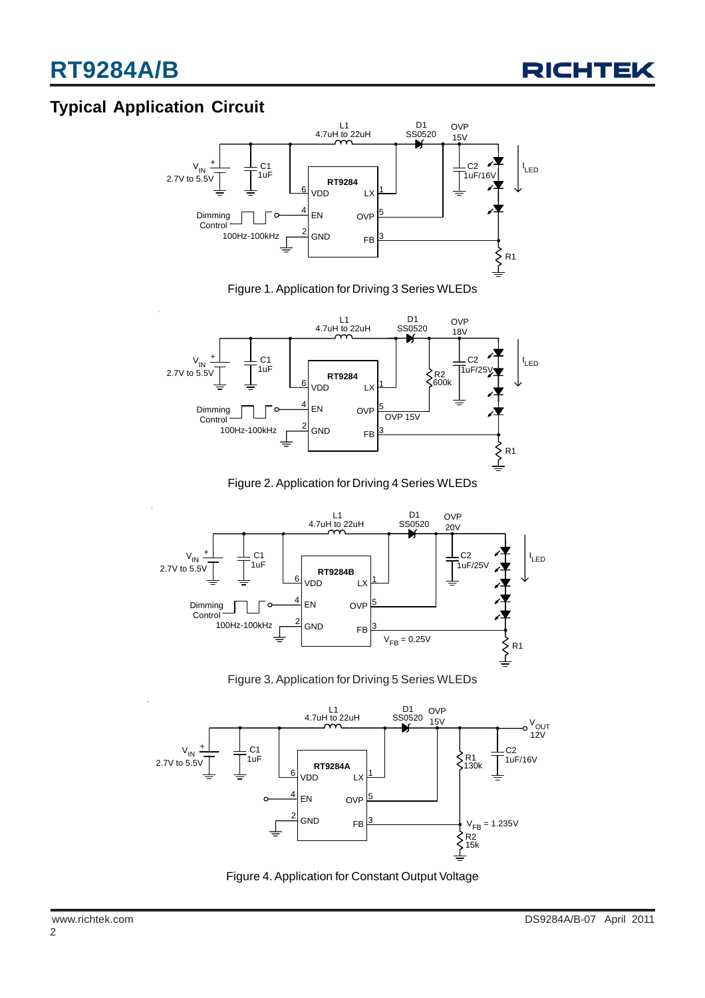

## **Typical Application Circuit**



Figure 1. Application for Driving 3 Series WLEDs



Figure 2. Application for Driving 4 Series WLEDs



Figure 3. Application for Driving 5 Series WLEDs



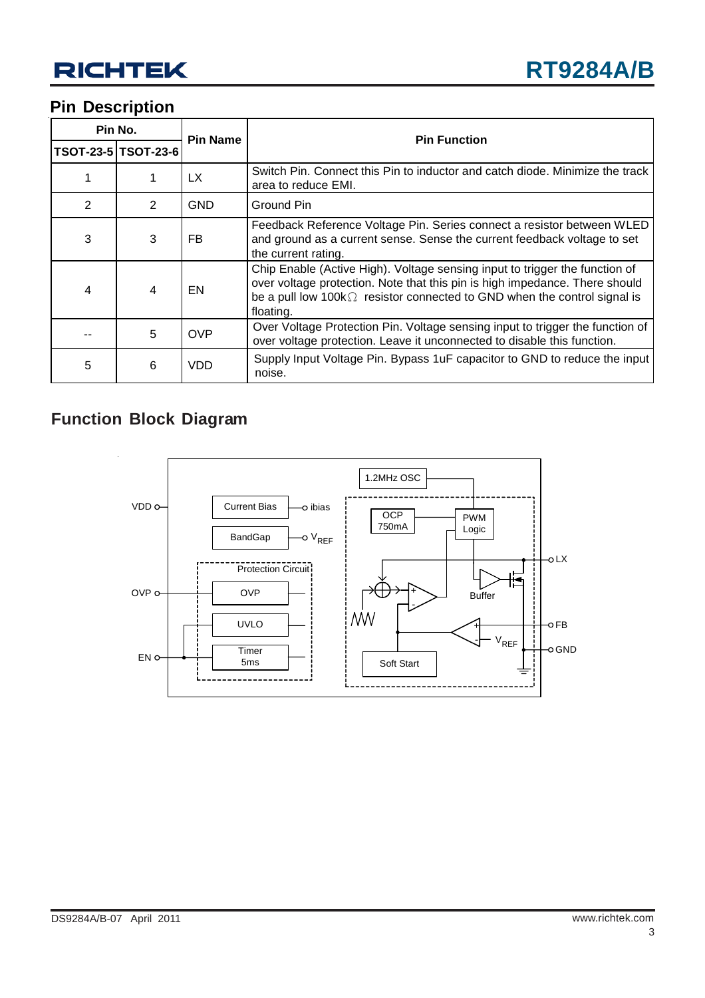## **Pin Description**

| Pin No.        |                     | <b>Pin Name</b> |                                                                                                                                                                                                                                                            |  |  |
|----------------|---------------------|-----------------|------------------------------------------------------------------------------------------------------------------------------------------------------------------------------------------------------------------------------------------------------------|--|--|
|                | TSOT-23-5 TSOT-23-6 |                 | <b>Pin Function</b>                                                                                                                                                                                                                                        |  |  |
|                |                     | LX.             | Switch Pin. Connect this Pin to inductor and catch diode. Minimize the track<br>area to reduce EMI.                                                                                                                                                        |  |  |
| $\overline{2}$ | 2                   | <b>GND</b>      | Ground Pin                                                                                                                                                                                                                                                 |  |  |
| 3              | 3                   | FB.             | Feedback Reference Voltage Pin. Series connect a resistor between WLED<br>and ground as a current sense. Sense the current feedback voltage to set<br>the current rating.                                                                                  |  |  |
| $\overline{4}$ | 4                   | EN              | Chip Enable (Active High). Voltage sensing input to trigger the function of<br>over voltage protection. Note that this pin is high impedance. There should<br>be a pull low $100k\Omega$ resistor connected to GND when the control signal is<br>floating. |  |  |
|                | 5                   | <b>OVP</b>      | Over Voltage Protection Pin. Voltage sensing input to trigger the function of<br>over voltage protection. Leave it unconnected to disable this function.                                                                                                   |  |  |
| 5              | 6                   | <b>VDD</b>      | Supply Input Voltage Pin. Bypass 1uF capacitor to GND to reduce the input<br>noise.                                                                                                                                                                        |  |  |

# **Function Block Diagram**

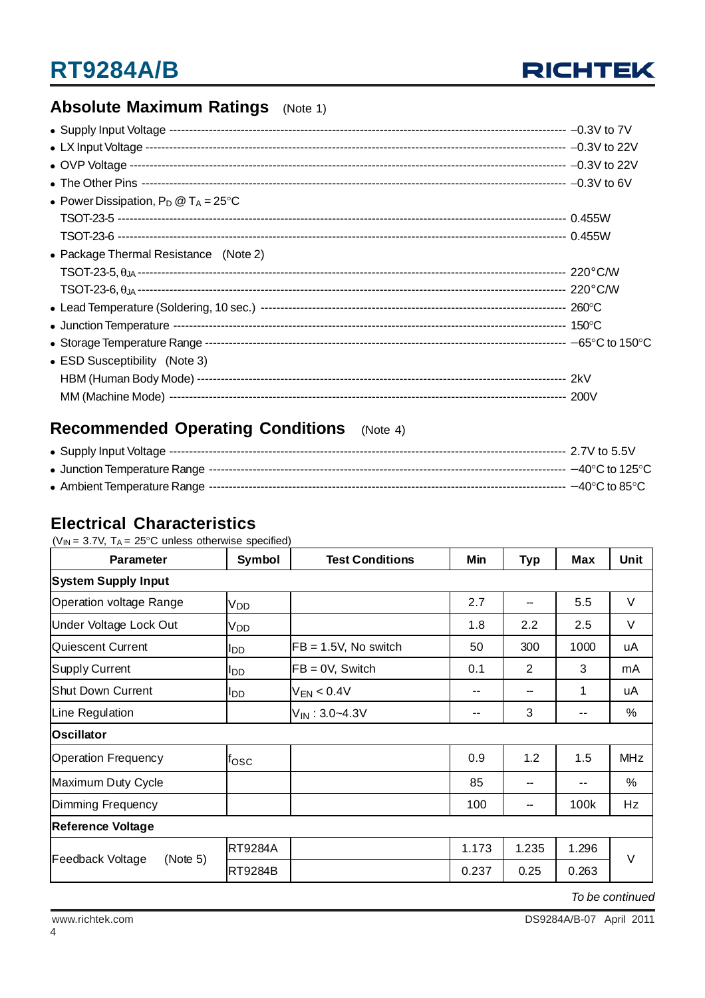

## **Absolute Maximum Ratings** (Note 1)

| • Power Dissipation, $P_D @ T_A = 25^{\circ}C$ |  |
|------------------------------------------------|--|
|                                                |  |
|                                                |  |
| • Package Thermal Resistance (Note 2)          |  |
|                                                |  |
|                                                |  |
|                                                |  |
|                                                |  |
|                                                |  |
| • ESD Susceptibility (Note 3)                  |  |
|                                                |  |
|                                                |  |

## **Recommended Operating Conditions** (Note 4)

## **Electrical Characteristics**

| ( $V_{IN}$ = 3.7V, T <sub>A</sub> = 25°C unless otherwise specified) |  |  |
|----------------------------------------------------------------------|--|--|
|                                                                      |  |  |

| Parameter                    | Symbol             | <b>Test Conditions</b>  | Min                      | <b>Typ</b>     | <b>Max</b>               | Unit       |
|------------------------------|--------------------|-------------------------|--------------------------|----------------|--------------------------|------------|
| <b>System Supply Input</b>   |                    |                         |                          |                |                          |            |
| Operation voltage Range      | V <sub>DD</sub>    |                         | 2.7                      | --             | 5.5                      | V          |
| Under Voltage Lock Out       | Vpp                |                         | 1.8                      | 2.2            | 2.5                      | V          |
| Quiescent Current            | ldd                | $FB = 1.5V$ , No switch | 50                       | 300            | 1000                     | uA         |
| Supply Current               | ll DD.             | $FB = 0V$ , Switch      | 0.1                      | $\overline{2}$ | 3                        | mA         |
| Shut Down Current            | lldd               | $V_{EN}$ < 0.4V         | $- -$                    | --             | 1                        | uA         |
| Line Regulation              |                    | $V_{IN}$ : 3.0~4.3V     | $\overline{\phantom{a}}$ | 3              | $\overline{\phantom{a}}$ | %          |
| <b>Oscillator</b>            |                    |                         |                          |                |                          |            |
| Operation Frequency          | l <sup>f</sup> osc |                         | 0.9                      | 1.2            | 1.5                      | <b>MHz</b> |
| Maximum Duty Cycle           |                    |                         | 85                       | --             |                          | %          |
| Dimming Frequency            |                    |                         | 100                      | --             | 100k                     | Hz         |
| <b>Reference Voltage</b>     |                    |                         |                          |                |                          |            |
|                              | <b>RT9284A</b>     |                         | 1.173                    | 1.235          | 1.296                    |            |
| Feedback Voltage<br>(Note 5) | <b>RT9284B</b>     |                         | 0.237                    | 0.25           | 0.263                    | V          |

*To be continued*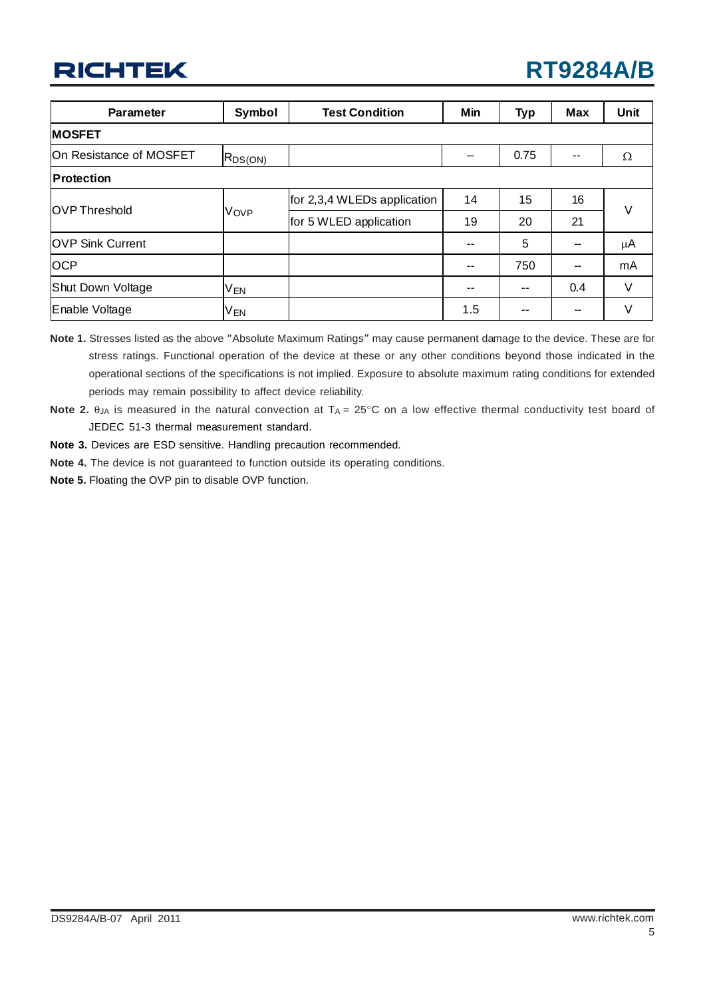| <b>Parameter</b>        | Symbol       | <b>Test Condition</b>       | Min | <b>Typ</b> | Max | Unit |
|-------------------------|--------------|-----------------------------|-----|------------|-----|------|
| <b>MOSFET</b>           |              |                             |     |            |     |      |
| On Resistance of MOSFET | $R_{DS(ON)}$ |                             |     | 0.75       | $-$ | Ω    |
| <b>Protection</b>       |              |                             |     |            |     |      |
| <b>OVP Threshold</b>    | Vove         | for 2,3,4 WLEDs application | 14  | 15         | 16  | V    |
|                         |              | for 5 WLED application      | 19  | 20         | 21  |      |
| <b>OVP Sink Current</b> |              |                             | --  | 5          | --  | μA   |
| <b>OCP</b>              |              |                             | --  | 750        | --  | mA   |
| Shut Down Voltage       | <b>VEN</b>   |                             | --  | --         | 0.4 | V    |
| Enable Voltage          | VEN          |                             | 1.5 | --         | --  | V    |

**Note 1.** Stresses listed as the above "Absolute Maximum Ratings" may cause permanent damage to the device. These are for stress ratings. Functional operation of the device at these or any other conditions beyond those indicated in the operational sections of the specifications is not implied. Exposure to absolute maximum rating conditions for extended periods may remain possibility to affect device reliability.

**Note 2.** θ<sub>JA</sub> is measured in the natural convection at T<sub>A</sub> = 25°C on a low effective thermal conductivity test board of JEDEC 51-3 thermal measurement standard.

- **Note 3.** Devices are ESD sensitive. Handling precaution recommended.
- **Note 4.** The device is not guaranteed to function outside its operating conditions.
- **Note 5.** Floating the OVP pin to disable OVP function.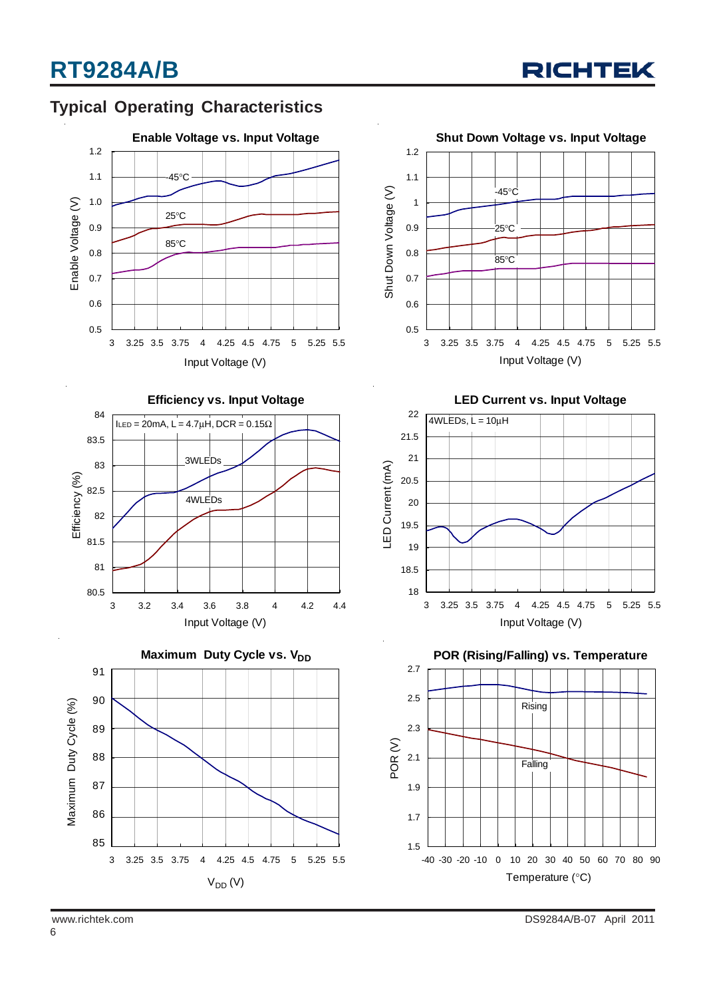

## **Typical Operating Characteristics**









**LED Current vs. Input Voltage**



**POR (Rising/Falling) vs. Temperature**

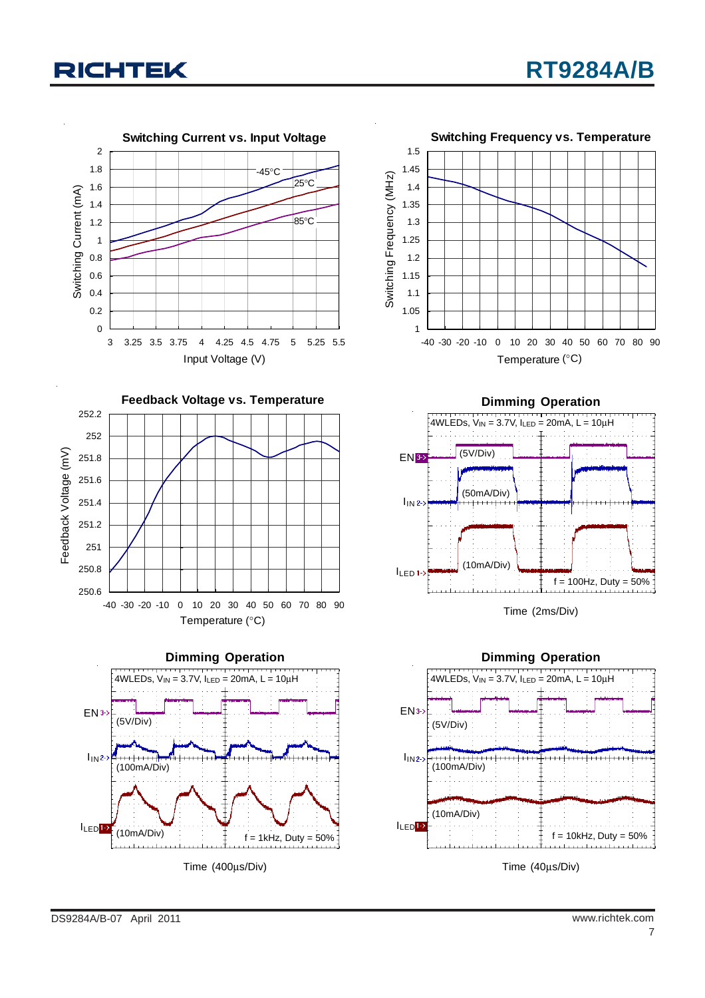









Time (2ms/Div)



Time (40μs/Div)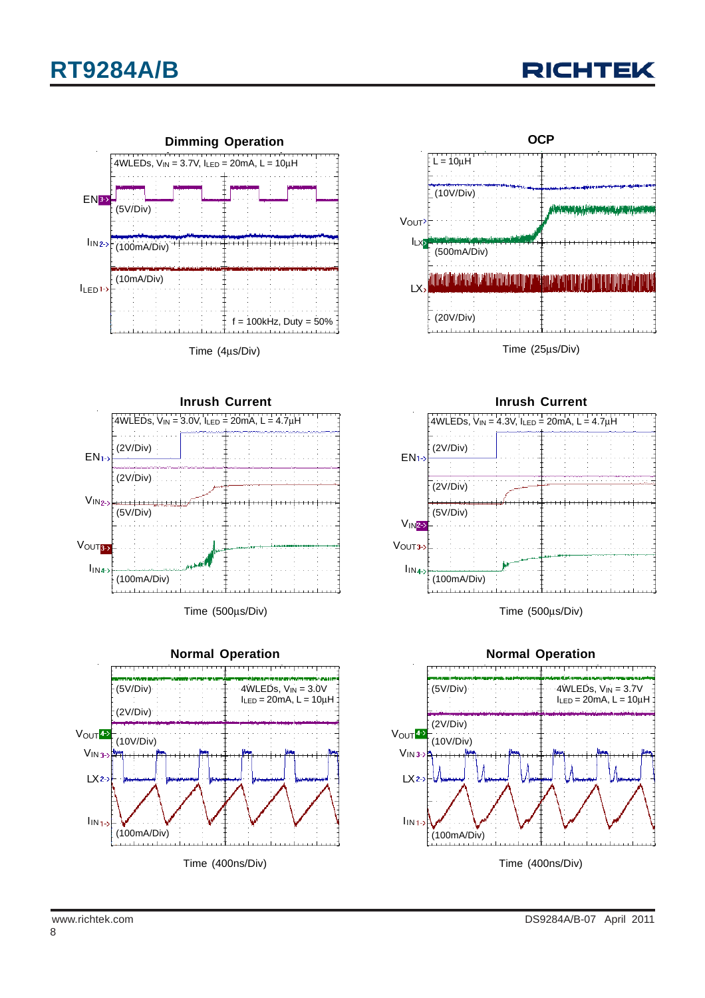





Time (4μs/Div)



Time (500μs/Div)





Time (25μs/Div)



Time (500μs/Div)



8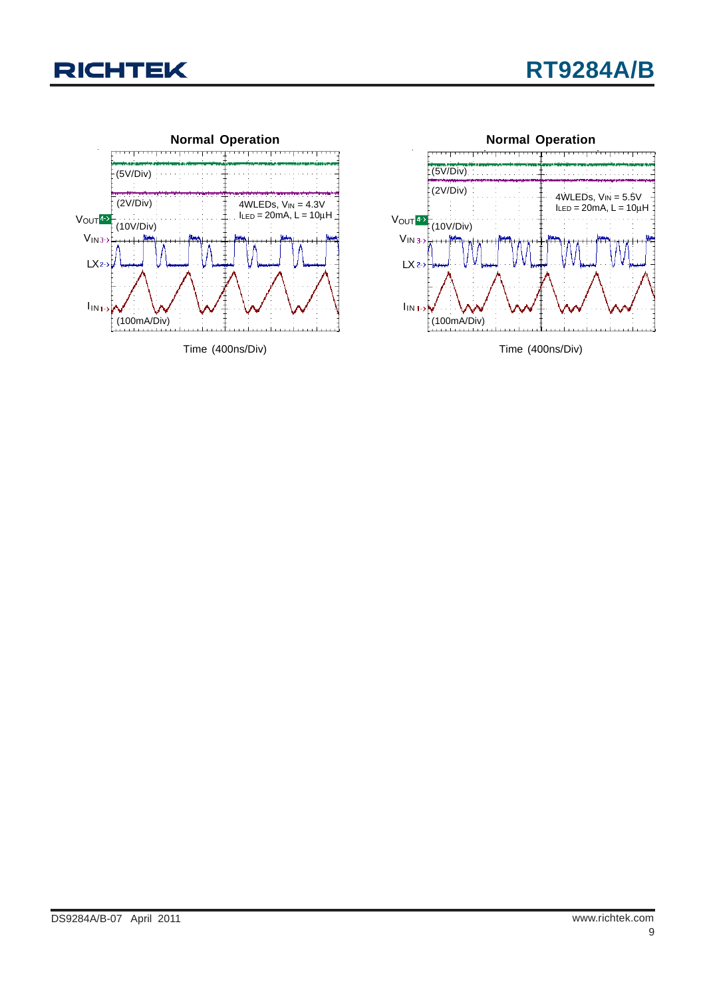





Time (400ns/Div)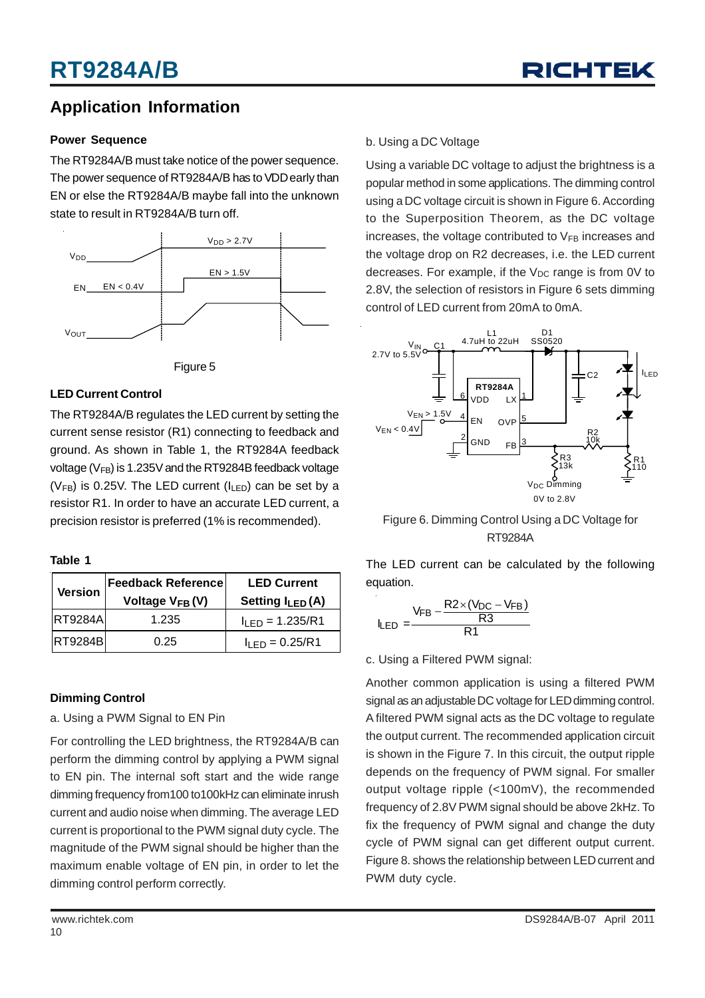

## **Application Information**

#### **Power Sequence**

The RT9284A/B must take notice of the power sequence. The power sequence of RT9284A/B has to VDD early than EN or else the RT9284A/B maybe fall into the unknown state to result in RT9284A/B turn off.





#### **LED Current Control**

The RT9284A/B regulates the LED current by setting the current sense resistor (R1) connecting to feedback and ground. As shown in Table 1, the RT9284A feedback voltage ( $V_{FB}$ ) is 1.235V and the RT9284B feedback voltage ( $V_{FB}$ ) is 0.25V. The LED current ( $I_{LED}$ ) can be set by a resistor R1. In order to have an accurate LED current, a precision resistor is preferred (1% is recommended).

#### **Table 1**

| <b>Version</b>  | <b>Feedback Reference</b><br>Voltage V <sub>FB</sub> (V) | <b>LED Current</b><br>Setting $I_{LED}(A)$ |  |
|-----------------|----------------------------------------------------------|--------------------------------------------|--|
| <b>IRT9284A</b> | 1.235                                                    | $I_{LED} = 1.235/R1$                       |  |
| <b>RT9284BI</b> | 0.25                                                     | $I1$ FD = 0.25/R1                          |  |

#### **Dimming Control**

a. Using a PWM Signal to EN Pin

For controlling the LED brightness, the RT9284A/B can perform the dimming control by applying a PWM signal to EN pin. The internal soft start and the wide range dimming frequency from100 to100kHz can eliminate inrush current and audio noise when dimming. The average LED current is proportional to the PWM signal duty cycle. The magnitude of the PWM signal should be higher than the maximum enable voltage of EN pin, in order to let the dimming control perform correctly.

### b. Using a DC Voltage

Using a variable DC voltage to adjust the brightness is a popular method in some applications. The dimming control using a DC voltage circuit is shown in Figure 6. According to the Superposition Theorem, as the DC voltage increases, the voltage contributed to  $V_{FB}$  increases and the voltage drop on R2 decreases, i.e. the LED current decreases. For example, if the  $V_{DC}$  range is from 0V to 2.8V, the selection of resistors in Figure 6 sets dimming control of LED current from 20mA to 0mA.



Figure 6. Dimming Control Using a DC Voltage for RT9284A

The LED current can be calculated by the following equation.

$$
I_{LED} = \frac{V_{FB} - \frac{R2 \times (V_{DC} - V_{FB})}{R3}}{R1}
$$

#### c. Using a Filtered PWM signal:

Another common application is using a filtered PWM signal as an adjustable DC voltage for LED dimming control. A filtered PWM signal acts as the DC voltage to regulate the output current. The recommended application circuit is shown in the Figure 7. In this circuit, the output ripple depends on the frequency of PWM signal. For smaller output voltage ripple (<100mV), the recommended frequency of 2.8V PWM signal should be above 2kHz. To fix the frequency of PWM signal and change the duty cycle of PWM signal can get different output current. Figure 8. shows the relationship between LED current and PWM duty cycle.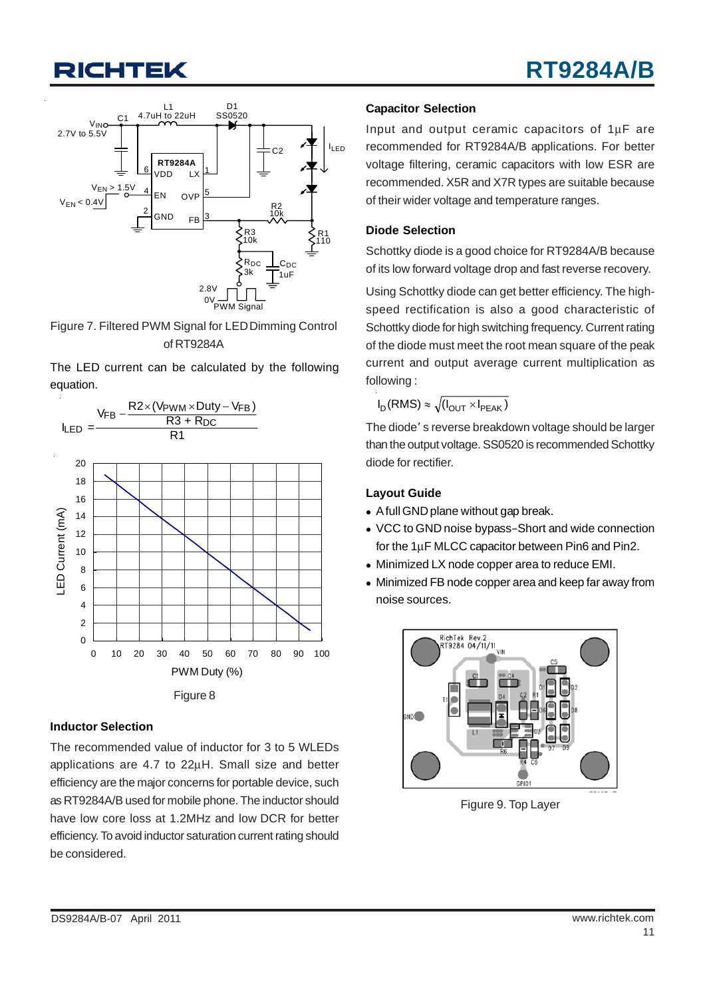

Figure 7. Filtered PWM Signal for LED Dimming Control of RT9284A

The LED current can be calculated by the following equation.



#### **Inductor Selection**

The recommended value of inductor for 3 to 5 WLEDs applications are 4.7 to 22μH. Small size and better efficiency are the major concerns for portable device, such as RT9284A/B used for mobile phone. The inductor should have low core loss at 1.2MHz and low DCR for better efficiency. To avoid inductor saturation current rating should be considered.

#### **Capacitor Selection**

Input and output ceramic capacitors of 1μF are recommended for RT9284A/B applications. For better voltage filtering, ceramic capacitors with low ESR are recommended. X5R and X7R types are suitable because of their wider voltage and temperature ranges.

#### **Diode Selection**

Schottky diode is a good choice for RT9284A/B because of its low forward voltage drop and fast reverse recovery.

Using Schottky diode can get better efficiency. The highspeed rectification is also a good characteristic of Schottky diode for high switching frequency. Current rating of the diode must meet the root mean square of the peak current and output average current multiplication as following :

$$
\mathsf{I}_\mathsf{D}(\mathsf{RMS}) \approx \sqrt{(\mathsf{I}_\mathsf{OUT} \times \mathsf{I}_\mathsf{PEAK})}
$$

The diode' s reverse breakdown voltage should be larger than the output voltage. SS0520 is recommended Schottky diode for rectifier.

#### **Layout Guide**

- A full GND plane without gap break.
- VCC to GND noise bypass–Short and wide connection for the 1μF MLCC capacitor between Pin6 and Pin2.
- Minimized LX node copper area to reduce EMI.
- Minimized FB node copper area and keep far away from noise sources.



Figure 9. Top Layer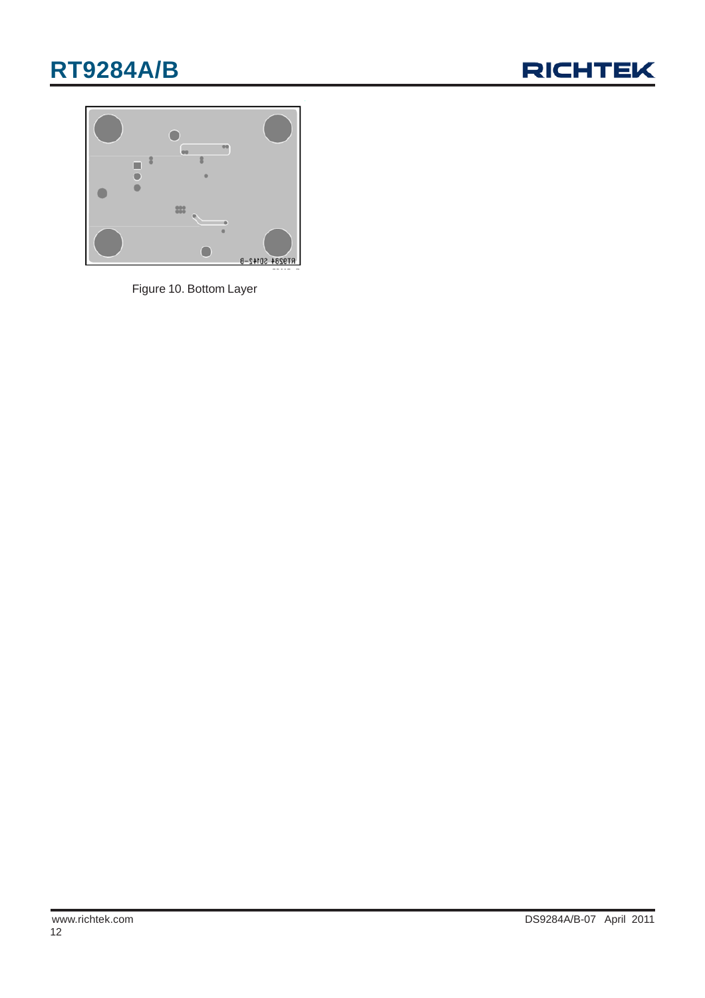# **RT9284A/B**





Figure 10. Bottom Layer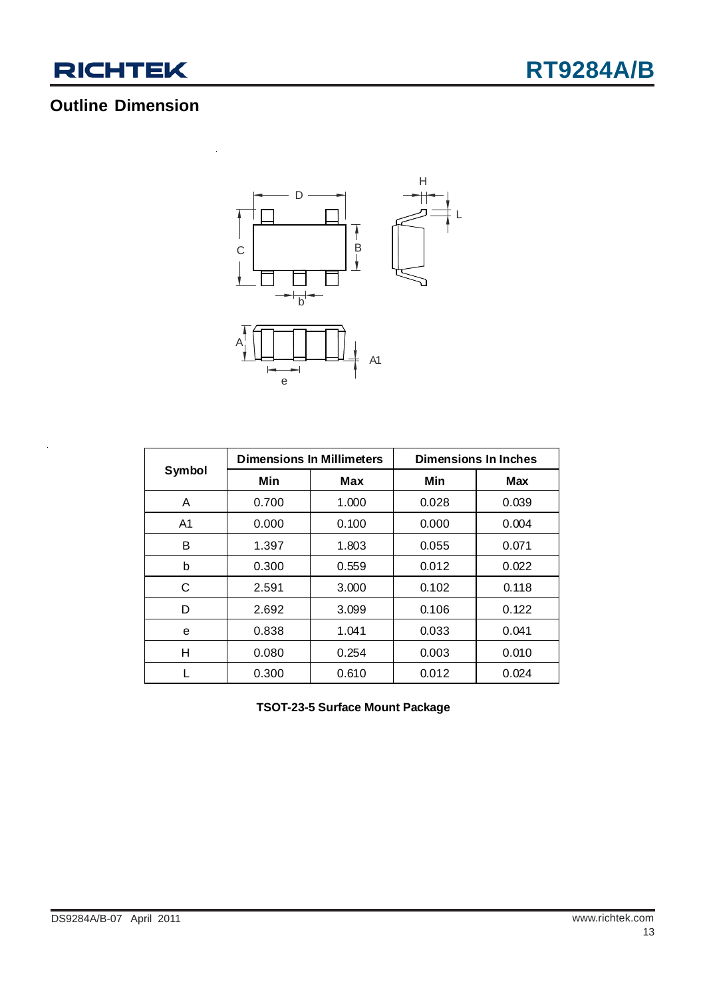

## **Outline Dimension**

 $\ddot{\phantom{a}}$ 



|                | <b>Dimensions In Millimeters</b> |       | <b>Dimensions In Inches</b> |       |  |
|----------------|----------------------------------|-------|-----------------------------|-------|--|
| Symbol         | Min                              | Max   | Min                         | Max   |  |
| A              | 0.700                            | 1.000 | 0.028                       | 0.039 |  |
| A <sub>1</sub> | 0.000                            | 0.100 | 0.000                       | 0.004 |  |
| в              | 1.397                            | 1.803 | 0.055                       | 0.071 |  |
| b              | 0.300                            | 0.559 | 0.012                       | 0.022 |  |
| С              | 2.591                            | 3.000 | 0.102                       | 0.118 |  |
| D              | 2.692                            | 3.099 | 0.106                       | 0.122 |  |
| e              | 0.838                            | 1.041 | 0.033                       | 0.041 |  |
| н              | 0.080                            | 0.254 | 0.003                       | 0.010 |  |
|                | 0.300                            | 0.610 | 0.012                       | 0.024 |  |

**TSOT-23-5 Surface Mount Package**